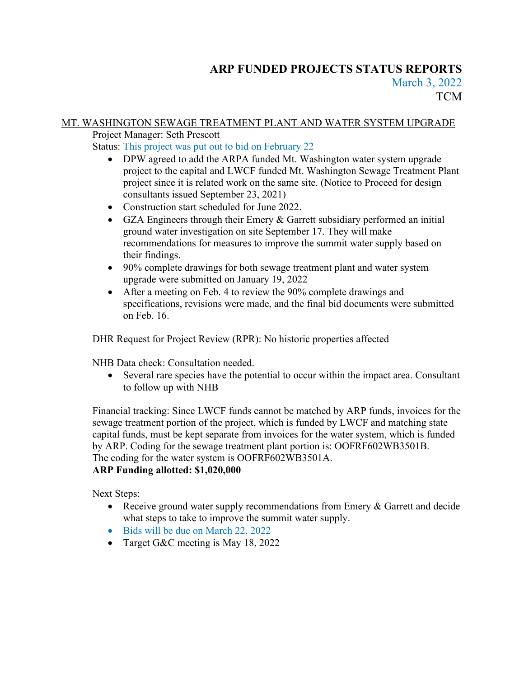# **ARP FUNDED PROJECTS STATUS REPORTS** March 3, 2022 **TCM**

# MT. WASHINGTON SEWAGE TREATMENT PLANT AND WATER SYSTEM UPGRADE

Project Manager: Seth Prescott

Status: This project was put out to bid on February 22

- DPW agreed to add the ARPA funded Mt. Washington water system upgrade project to the capital and LWCF funded Mt. Washington Sewage Treatment Plant project since it is related work on the same site. (Notice to Proceed for design consultants issued September 23, 2021)
- Construction start scheduled for June 2022.
- GZA Engineers through their Emery & Garrett subsidiary performed an initial ground water investigation on site September 17. They will make recommendations for measures to improve the summit water supply based on their findings.
- 90% complete drawings for both sewage treatment plant and water system upgrade were submitted on January 19, 2022
- After a meeting on Feb. 4 to review the 90% complete drawings and specifications, revisions were made, and the final bid documents were submitted on Feb. 16.

DHR Request for Project Review (RPR): No historic properties affected

NHB Data check: Consultation needed.

• Several rare species have the potential to occur within the impact area. Consultant to follow up with NHB

Financial tracking: Since LWCF funds cannot be matched by ARP funds, invoices for the sewage treatment portion of the project, which is funded by LWCF and matching state capital funds, must be kept separate from invoices for the water system, which is funded by ARP. Coding for the sewage treatment plant portion is: OOFRF602WB3501B. The coding for the water system is OOFRF602WB3501A. **ARP Funding allotted: \$1,020,000**

Next Steps:

- Receive ground water supply recommendations from Emery & Garrett and decide what steps to take to improve the summit water supply.
- Bids will be due on March 22, 2022
- Target G&C meeting is May 18, 2022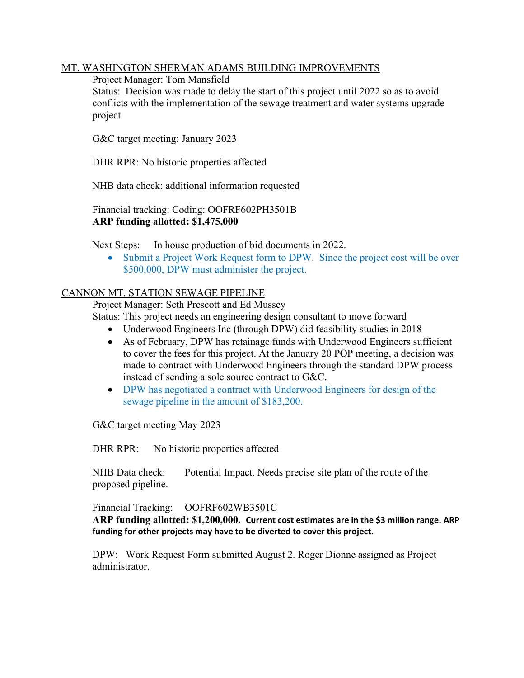#### MT. WASHINGTON SHERMAN ADAMS BUILDING IMPROVEMENTS

Project Manager: Tom Mansfield

Status: Decision was made to delay the start of this project until 2022 so as to avoid conflicts with the implementation of the sewage treatment and water systems upgrade project.

G&C target meeting: January 2023

DHR RPR: No historic properties affected

NHB data check: additional information requested

Financial tracking: Coding: OOFRF602PH3501B **ARP funding allotted: \$1,475,000**

Next Steps: In house production of bid documents in 2022.

• Submit a Project Work Request form to DPW. Since the project cost will be over \$500,000, DPW must administer the project.

#### CANNON MT. STATION SEWAGE PIPELINE

Project Manager: Seth Prescott and Ed Mussey

Status: This project needs an engineering design consultant to move forward

- Underwood Engineers Inc (through DPW) did feasibility studies in 2018
- As of February, DPW has retainage funds with Underwood Engineers sufficient to cover the fees for this project. At the January 20 POP meeting, a decision was made to contract with Underwood Engineers through the standard DPW process instead of sending a sole source contract to G&C.
- DPW has negotiated a contract with Underwood Engineers for design of the sewage pipeline in the amount of \$183,200.

G&C target meeting May 2023

DHR RPR: No historic properties affected

NHB Data check: Potential Impact. Needs precise site plan of the route of the proposed pipeline.

Financial Tracking: OOFRF602WB3501C

**ARP funding allotted: \$1,200,000. Current cost estimates are in the \$3 million range. ARP funding for other projects may have to be diverted to cover this project.**

DPW: Work Request Form submitted August 2. Roger Dionne assigned as Project administrator.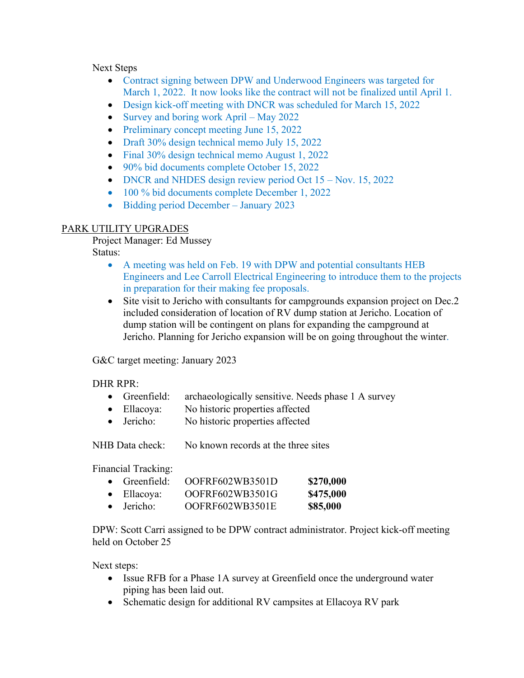#### Next Steps

- Contract signing between DPW and Underwood Engineers was targeted for March 1, 2022. It now looks like the contract will not be finalized until April 1.
- Design kick-off meeting with DNCR was scheduled for March 15, 2022
- Survey and boring work April May 2022
- Preliminary concept meeting June 15, 2022
- Draft 30% design technical memo July 15, 2022
- Final 30% design technical memo August 1, 2022
- 90% bid documents complete October 15, 2022
- DNCR and NHDES design review period Oct 15 Nov. 15, 2022
- 100 % bid documents complete December 1, 2022
- Bidding period December January 2023

# PARK UTILITY UPGRADES

Project Manager: Ed Mussey Status:

- A meeting was held on Feb. 19 with DPW and potential consultants HEB Engineers and Lee Carroll Electrical Engineering to introduce them to the projects in preparation for their making fee proposals.
- Site visit to Jericho with consultants for campgrounds expansion project on Dec.2 included consideration of location of RV dump station at Jericho. Location of dump station will be contingent on plans for expanding the campground at Jericho. Planning for Jericho expansion will be on going throughout the winter.

G&C target meeting: January 2023

# DHR RPR:

- Greenfield: archaeologically sensitive. Needs phase 1 A survey
- Ellacoya: No historic properties affected
- Jericho: No historic properties affected

NHB Data check: No known records at the three sites

Financial Tracking:

| $\bullet$ Greenfield: | OOFRF602WB3501D | \$270,000 |
|-----------------------|-----------------|-----------|
| $\bullet$ Ellacoya:   | OOFRF602WB3501G | \$475,000 |
| $\bullet$ Jericho:    | OOFRF602WB3501E | \$85,000  |

DPW: Scott Carri assigned to be DPW contract administrator. Project kick-off meeting held on October 25

Next steps:

- Issue RFB for a Phase 1A survey at Greenfield once the underground water piping has been laid out.
- Schematic design for additional RV campsites at Ellacoya RV park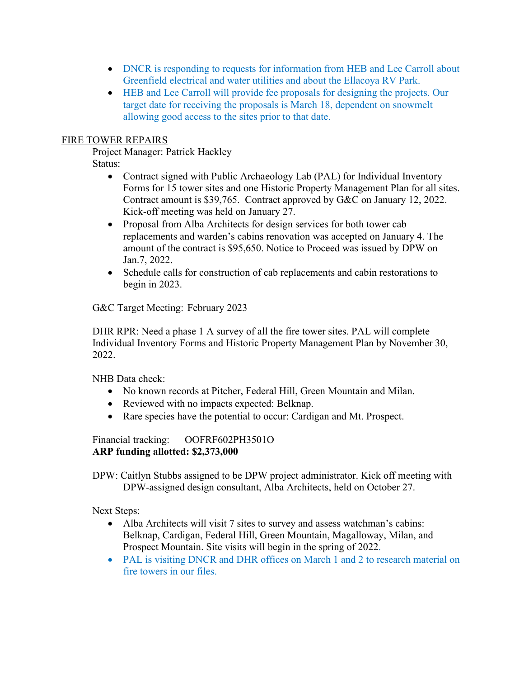- DNCR is responding to requests for information from HEB and Lee Carroll about Greenfield electrical and water utilities and about the Ellacoya RV Park.
- HEB and Lee Carroll will provide fee proposals for designing the projects. Our target date for receiving the proposals is March 18, dependent on snowmelt allowing good access to the sites prior to that date.

#### FIRE TOWER REPAIRS

Project Manager: Patrick Hackley Status:

- Contract signed with Public Archaeology Lab (PAL) for Individual Inventory Forms for 15 tower sites and one Historic Property Management Plan for all sites. Contract amount is \$39,765. Contract approved by G&C on January 12, 2022. Kick-off meeting was held on January 27.
- Proposal from Alba Architects for design services for both tower cab replacements and warden's cabins renovation was accepted on January 4. The amount of the contract is \$95,650. Notice to Proceed was issued by DPW on Jan.7, 2022.
- Schedule calls for construction of cab replacements and cabin restorations to begin in 2023.

G&C Target Meeting: February 2023

DHR RPR: Need a phase 1 A survey of all the fire tower sites. PAL will complete Individual Inventory Forms and Historic Property Management Plan by November 30, 2022.

NHB Data check:

- No known records at Pitcher, Federal Hill, Green Mountain and Milan.
- Reviewed with no impacts expected: Belknap.
- Rare species have the potential to occur: Cardigan and Mt. Prospect.

Financial tracking: OOFRF602PH3501O **ARP funding allotted: \$2,373,000**

DPW: Caitlyn Stubbs assigned to be DPW project administrator. Kick off meeting with DPW-assigned design consultant, Alba Architects, held on October 27.

Next Steps:

- Alba Architects will visit 7 sites to survey and assess watchman's cabins: Belknap, Cardigan, Federal Hill, Green Mountain, Magalloway, Milan, and Prospect Mountain. Site visits will begin in the spring of 2022.
- PAL is visiting DNCR and DHR offices on March 1 and 2 to research material on fire towers in our files.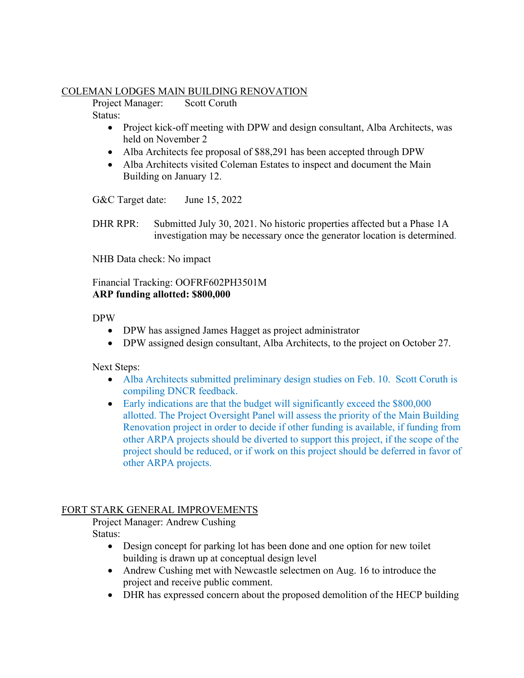#### COLEMAN LODGES MAIN BUILDING RENOVATION

Project Manager: Scott Coruth Status:

- Project kick-off meeting with DPW and design consultant, Alba Architects, was held on November 2
- Alba Architects fee proposal of \$88,291 has been accepted through DPW
- Alba Architects visited Coleman Estates to inspect and document the Main Building on January 12.

G&C Target date: June 15, 2022

DHR RPR: Submitted July 30, 2021. No historic properties affected but a Phase 1A investigation may be necessary once the generator location is determined.

NHB Data check: No impact

Financial Tracking: OOFRF602PH3501M **ARP funding allotted: \$800,000**

#### DPW

- DPW has assigned James Hagget as project administrator
- DPW assigned design consultant, Alba Architects, to the project on October 27.

Next Steps:

- Alba Architects submitted preliminary design studies on Feb. 10. Scott Coruth is compiling DNCR feedback.
- Early indications are that the budget will significantly exceed the \$800,000 allotted. The Project Oversight Panel will assess the priority of the Main Building Renovation project in order to decide if other funding is available, if funding from other ARPA projects should be diverted to support this project, if the scope of the project should be reduced, or if work on this project should be deferred in favor of other ARPA projects.

# FORT STARK GENERAL IMPROVEMENTS

Project Manager: Andrew Cushing Status:

- Design concept for parking lot has been done and one option for new toilet building is drawn up at conceptual design level
- Andrew Cushing met with Newcastle selectmen on Aug. 16 to introduce the project and receive public comment.
- DHR has expressed concern about the proposed demolition of the HECP building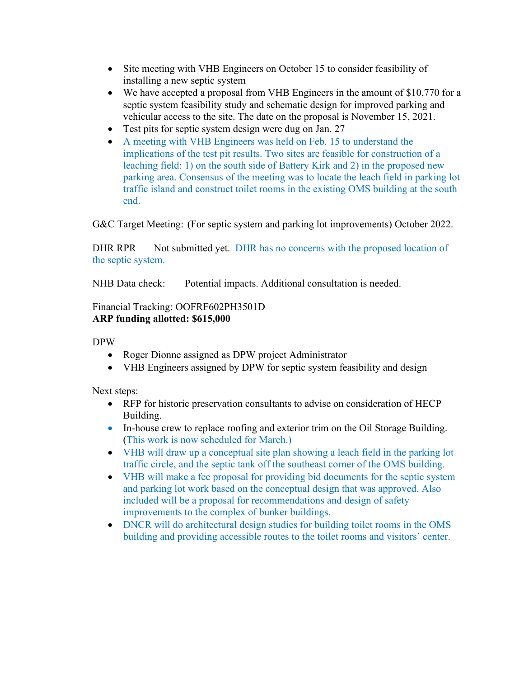- Site meeting with VHB Engineers on October 15 to consider feasibility of installing a new septic system
- We have accepted a proposal from VHB Engineers in the amount of \$10,770 for a septic system feasibility study and schematic design for improved parking and vehicular access to the site. The date on the proposal is November 15, 2021.
- Test pits for septic system design were dug on Jan. 27
- A meeting with VHB Engineers was held on Feb. 15 to understand the implications of the test pit results. Two sites are feasible for construction of a leaching field: 1) on the south side of Battery Kirk and 2) in the proposed new parking area. Consensus of the meeting was to locate the leach field in parking lot traffic island and construct toilet rooms in the existing OMS building at the south end.

G&C Target Meeting: (For septic system and parking lot improvements) October 2022.

DHR RPR Not submitted yet. DHR has no concerns with the proposed location of the septic system.

NHB Data check: Potential impacts. Additional consultation is needed.

#### Financial Tracking: OOFRF602PH3501D **ARP funding allotted: \$615,000**

DPW

- Roger Dionne assigned as DPW project Administrator
- VHB Engineers assigned by DPW for septic system feasibility and design

Next steps:

- RFP for historic preservation consultants to advise on consideration of HECP Building.
- In-house crew to replace roofing and exterior trim on the Oil Storage Building. (This work is now scheduled for March.)
- VHB will draw up a conceptual site plan showing a leach field in the parking lot traffic circle, and the septic tank off the southeast corner of the OMS building.
- VHB will make a fee proposal for providing bid documents for the septic system and parking lot work based on the conceptual design that was approved. Also included will be a proposal for recommendations and design of safety improvements to the complex of bunker buildings.
- DNCR will do architectural design studies for building toilet rooms in the OMS building and providing accessible routes to the toilet rooms and visitors' center.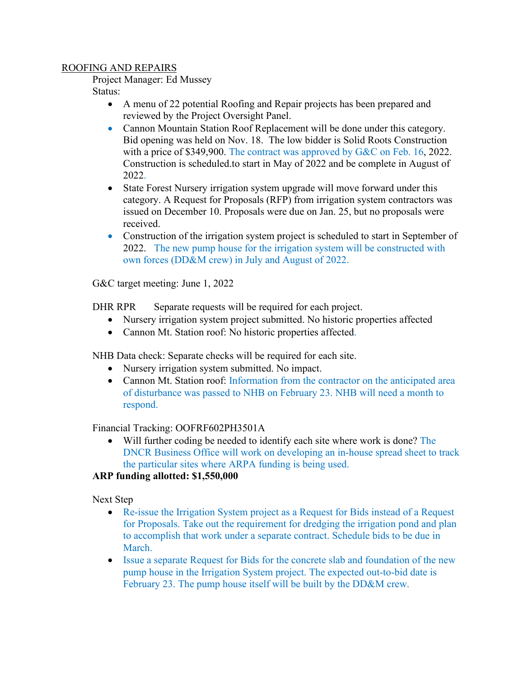#### ROOFING AND REPAIRS

Project Manager: Ed Mussey

Status:

- A menu of 22 potential Roofing and Repair projects has been prepared and reviewed by the Project Oversight Panel.
- Cannon Mountain Station Roof Replacement will be done under this category. Bid opening was held on Nov. 18. The low bidder is Solid Roots Construction with a price of \$349,900. The contract was approved by G&C on Feb. 16, 2022. Construction is scheduled.to start in May of 2022 and be complete in August of 2022.
- State Forest Nursery irrigation system upgrade will move forward under this category. A Request for Proposals (RFP) from irrigation system contractors was issued on December 10. Proposals were due on Jan. 25, but no proposals were received.
- Construction of the irrigation system project is scheduled to start in September of 2022. The new pump house for the irrigation system will be constructed with own forces (DD&M crew) in July and August of 2022.

G&C target meeting: June 1, 2022

DHR RPR Separate requests will be required for each project.

- Nursery irrigation system project submitted. No historic properties affected
- Cannon Mt. Station roof: No historic properties affected.

NHB Data check: Separate checks will be required for each site.

- Nursery irrigation system submitted. No impact.
- Cannon Mt. Station roof: Information from the contractor on the anticipated area of disturbance was passed to NHB on February 23. NHB will need a month to respond.

# Financial Tracking: OOFRF602PH3501A

• Will further coding be needed to identify each site where work is done? The DNCR Business Office will work on developing an in-house spread sheet to track the particular sites where ARPA funding is being used.

# **ARP funding allotted: \$1,550,000**

Next Step

- Re-issue the Irrigation System project as a Request for Bids instead of a Request for Proposals. Take out the requirement for dredging the irrigation pond and plan to accomplish that work under a separate contract. Schedule bids to be due in March.
- Issue a separate Request for Bids for the concrete slab and foundation of the new pump house in the Irrigation System project. The expected out-to-bid date is February 23. The pump house itself will be built by the DD&M crew.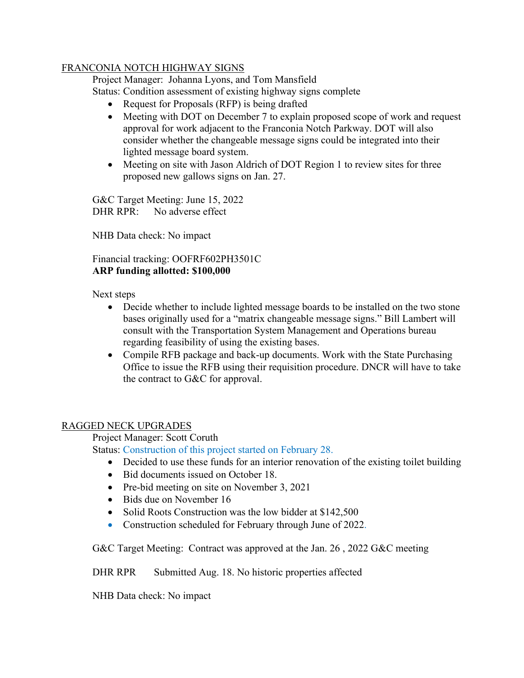#### FRANCONIA NOTCH HIGHWAY SIGNS

Project Manager: Johanna Lyons, and Tom Mansfield

Status: Condition assessment of existing highway signs complete

- Request for Proposals (RFP) is being drafted
- Meeting with DOT on December 7 to explain proposed scope of work and request approval for work adjacent to the Franconia Notch Parkway. DOT will also consider whether the changeable message signs could be integrated into their lighted message board system.
- Meeting on site with Jason Aldrich of DOT Region 1 to review sites for three proposed new gallows signs on Jan. 27.

G&C Target Meeting: June 15, 2022 DHR RPR: No adverse effect

NHB Data check: No impact

#### Financial tracking: OOFRF602PH3501C **ARP funding allotted: \$100,000**

Next steps

- Decide whether to include lighted message boards to be installed on the two stone bases originally used for a "matrix changeable message signs." Bill Lambert will consult with the Transportation System Management and Operations bureau regarding feasibility of using the existing bases.
- Compile RFB package and back-up documents. Work with the State Purchasing Office to issue the RFB using their requisition procedure. DNCR will have to take the contract to G&C for approval.

# RAGGED NECK UPGRADES

Project Manager: Scott Coruth

Status: Construction of this project started on February 28.

- Decided to use these funds for an interior renovation of the existing toilet building
- Bid documents issued on October 18.
- Pre-bid meeting on site on November 3, 2021
- Bids due on November 16
- Solid Roots Construction was the low bidder at \$142,500
- Construction scheduled for February through June of 2022.

G&C Target Meeting: Contract was approved at the Jan. 26 , 2022 G&C meeting

DHR RPR Submitted Aug. 18. No historic properties affected

NHB Data check: No impact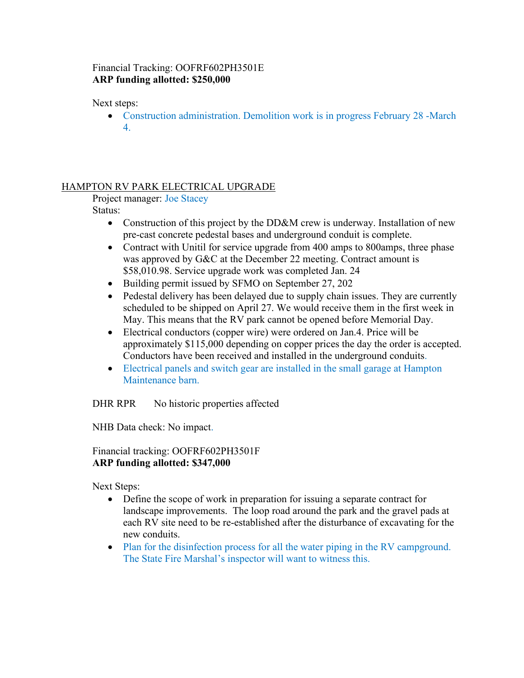# Financial Tracking: OOFRF602PH3501E **ARP funding allotted: \$250,000**

Next steps:

• Construction administration. Demolition work is in progress February 28 -March 4.

# HAMPTON RV PARK ELECTRICAL UPGRADE

Project manager: Joe Stacey

Status:

- Construction of this project by the DD&M crew is underway. Installation of new pre-cast concrete pedestal bases and underground conduit is complete.
- Contract with Unitil for service upgrade from 400 amps to 800 amps, three phase was approved by G&C at the December 22 meeting. Contract amount is \$58,010.98. Service upgrade work was completed Jan. 24
- Building permit issued by SFMO on September 27, 202
- Pedestal delivery has been delayed due to supply chain issues. They are currently scheduled to be shipped on April 27. We would receive them in the first week in May. This means that the RV park cannot be opened before Memorial Day.
- Electrical conductors (copper wire) were ordered on Jan.4. Price will be approximately \$115,000 depending on copper prices the day the order is accepted. Conductors have been received and installed in the underground conduits.
- Electrical panels and switch gear are installed in the small garage at Hampton Maintenance barn.

DHR RPR No historic properties affected

NHB Data check: No impact.

Financial tracking: OOFRF602PH3501F **ARP funding allotted: \$347,000**

Next Steps:

- Define the scope of work in preparation for issuing a separate contract for landscape improvements. The loop road around the park and the gravel pads at each RV site need to be re-established after the disturbance of excavating for the new conduits.
- Plan for the disinfection process for all the water piping in the RV campground. The State Fire Marshal's inspector will want to witness this.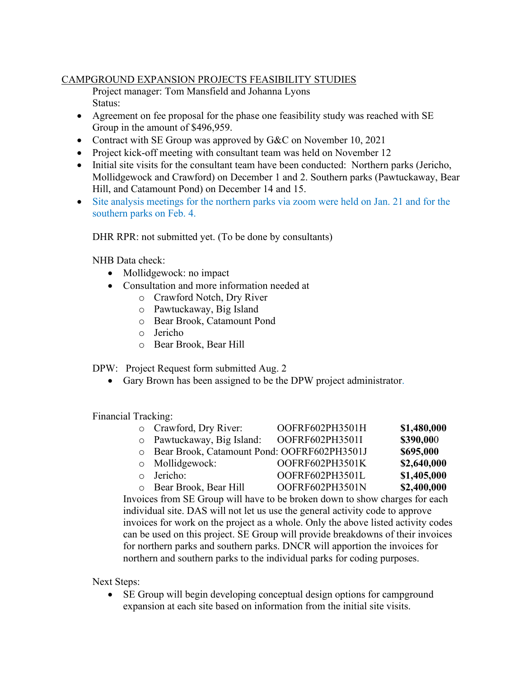# CAMPGROUND EXPANSION PROJECTS FEASIBILITY STUDIES

Project manager: Tom Mansfield and Johanna Lyons Status:

- Agreement on fee proposal for the phase one feasibility study was reached with SE Group in the amount of \$496,959.
- Contract with SE Group was approved by G&C on November 10, 2021
- Project kick-off meeting with consultant team was held on November 12
- Initial site visits for the consultant team have been conducted: Northern parks (Jericho, Mollidgewock and Crawford) on December 1 and 2. Southern parks (Pawtuckaway, Bear Hill, and Catamount Pond) on December 14 and 15.
- Site analysis meetings for the northern parks via zoom were held on Jan. 21 and for the southern parks on Feb. 4.

DHR RPR: not submitted yet. (To be done by consultants)

NHB Data check:

- Mollidgewock: no impact
- Consultation and more information needed at
	- o Crawford Notch, Dry River
	- o Pawtuckaway, Big Island
	- o Bear Brook, Catamount Pond
	- o Jericho
	- o Bear Brook, Bear Hill

DPW: Project Request form submitted Aug. 2

• Gary Brown has been assigned to be the DPW project administrator.

Financial Tracking:

| o Crawford, Dry River:                        | OOFRF602PH3501H | \$1,480,000 |
|-----------------------------------------------|-----------------|-------------|
| o Pawtuckaway, Big Island:                    | OOFRF602PH3501I | \$390,000   |
| O Bear Brook, Catamount Pond: OOFRF602PH3501J |                 | \$695,000   |
| $\circ$ Mollidgewock:                         | OOFRF602PH3501K | \$2,640,000 |
| o Jericho:                                    | OOFRF602PH3501L | \$1,405,000 |
| o Bear Brook, Bear Hill                       | OOFRF602PH3501N | \$2,400,000 |
|                                               |                 |             |

Invoices from SE Group will have to be broken down to show charges for each individual site. DAS will not let us use the general activity code to approve invoices for work on the project as a whole. Only the above listed activity codes can be used on this project. SE Group will provide breakdowns of their invoices for northern parks and southern parks. DNCR will apportion the invoices for northern and southern parks to the individual parks for coding purposes.

Next Steps:

• SE Group will begin developing conceptual design options for campground expansion at each site based on information from the initial site visits.